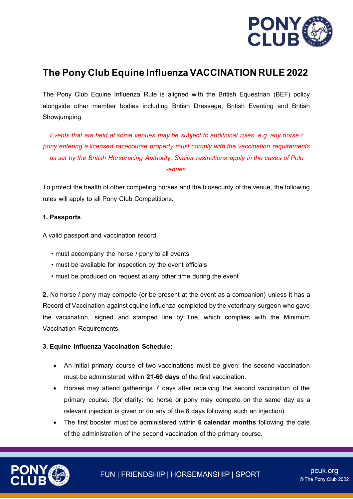

## **The Pony Club Equine Influenza VACCINATION RULE 2022**

The Pony Club Equine Influenza Rule is aligned with the British Equestrian (BEF) policy alongside other member bodies including British Dressage, British Eventing and British Showjumping.

*Events that are held at some venues may be subject to additional rules. e.g. any horse / pony entering a licensed racecourse property must comply with the vaccination requirements as set by the British Horseracing Authority. Similar restrictions apply in the cases of Polo venues.*

To protect the health of other competing horses and the biosecurity of the venue, the following rules will apply to all Pony Club Competitions:

## **1. Passports**

A valid passport and vaccination record:

- must accompany the horse / pony to all events
- must be available for inspection by the event officials
- must be produced on request at any other time during the event

**2.** No horse / pony may compete (or be present at the event as a companion) unless it has a Record of Vaccination against equine influenza completed by the veterinary surgeon who gave the vaccination, signed and stamped line by line, which complies with the Minimum Vaccination Requirements.

## **3. Equine Influenza Vaccination Schedule:**

- An initial primary course of two vaccinations must be given: the second vaccination must be administered within **21-60 days** of the first vaccination.
- Horses may attend gatherings 7 days after receiving the second vaccination of the primary course. (for clarity: no horse or pony may compete on the same day as a relevant injection is given or on any of the 6 days following such an injection)
- The first booster must be administered within **6 calendar months** following the date of the administration of the second vaccination of the primary course.